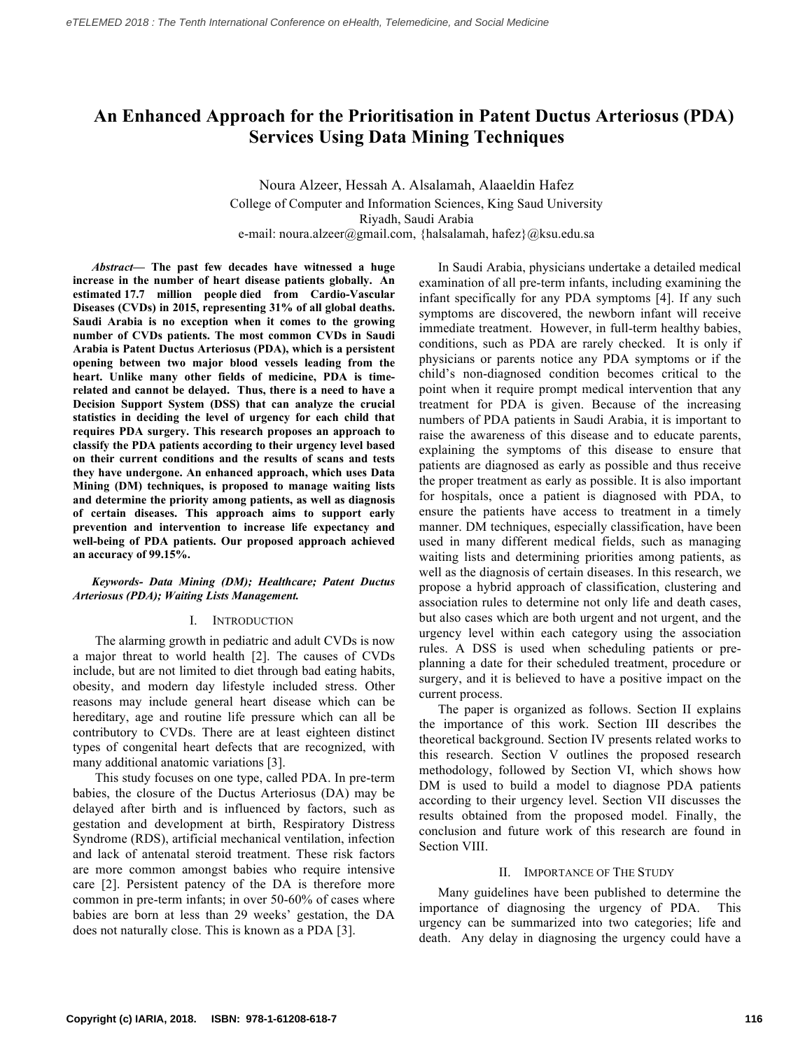# **An Enhanced Approach for the Prioritisation in Patent Ductus Arteriosus (PDA) Services Using Data Mining Techniques**

# Noura Alzeer, Hessah A. Alsalamah, Alaaeldin Hafez College of Computer and Information Sciences, King Saud University Riyadh, Saudi Arabia e-mail: noura.alzeer@gmail.com, {halsalamah, hafez}@ksu.edu.sa

*Abstract***— The past few decades have witnessed a huge increase in the number of heart disease patients globally. An estimated 17.7 million people died from Cardio-Vascular Diseases (CVDs) in 2015, representing 31% of all global deaths. Saudi Arabia is no exception when it comes to the growing number of CVDs patients. The most common CVDs in Saudi Arabia is Patent Ductus Arteriosus (PDA), which is a persistent opening between two major blood vessels leading from the heart. Unlike many other fields of medicine, PDA is timerelated and cannot be delayed. Thus, there is a need to have a Decision Support System (DSS) that can analyze the crucial statistics in deciding the level of urgency for each child that requires PDA surgery. This research proposes an approach to classify the PDA patients according to their urgency level based on their current conditions and the results of scans and tests they have undergone. An enhanced approach, which uses Data Mining (DM) techniques, is proposed to manage waiting lists and determine the priority among patients, as well as diagnosis of certain diseases. This approach aims to support early prevention and intervention to increase life expectancy and well-being of PDA patients. Our proposed approach achieved an accuracy of 99.15%.**

# *Keywords- Data Mining (DM); Healthcare; Patent Ductus Arteriosus (PDA); Waiting Lists Management.*

#### I. INTRODUCTION

The alarming growth in pediatric and adult CVDs is now a major threat to world health [2]. The causes of CVDs include, but are not limited to diet through bad eating habits, obesity, and modern day lifestyle included stress. Other reasons may include general heart disease which can be hereditary, age and routine life pressure which can all be contributory to CVDs. There are at least eighteen distinct types of congenital heart defects that are recognized, with many additional anatomic variations [3].

This study focuses on one type, called PDA. In pre-term babies, the closure of the Ductus Arteriosus (DA) may be delayed after birth and is influenced by factors, such as gestation and development at birth, Respiratory Distress Syndrome (RDS), artificial mechanical ventilation, infection and lack of antenatal steroid treatment. These risk factors are more common amongst babies who require intensive care [2]. Persistent patency of the DA is therefore more common in pre-term infants; in over 50-60% of cases where babies are born at less than 29 weeks' gestation, the DA does not naturally close. This is known as a PDA [3].

In Saudi Arabia, physicians undertake a detailed medical examination of all pre-term infants, including examining the infant specifically for any PDA symptoms [4]. If any such symptoms are discovered, the newborn infant will receive immediate treatment. However, in full-term healthy babies, conditions, such as PDA are rarely checked. It is only if physicians or parents notice any PDA symptoms or if the child's non-diagnosed condition becomes critical to the point when it require prompt medical intervention that any treatment for PDA is given. Because of the increasing numbers of PDA patients in Saudi Arabia, it is important to raise the awareness of this disease and to educate parents, explaining the symptoms of this disease to ensure that patients are diagnosed as early as possible and thus receive the proper treatment as early as possible. It is also important for hospitals, once a patient is diagnosed with PDA, to ensure the patients have access to treatment in a timely manner. DM techniques, especially classification, have been used in many different medical fields, such as managing waiting lists and determining priorities among patients, as well as the diagnosis of certain diseases. In this research, we propose a hybrid approach of classification, clustering and association rules to determine not only life and death cases, but also cases which are both urgent and not urgent, and the urgency level within each category using the association rules. A DSS is used when scheduling patients or preplanning a date for their scheduled treatment, procedure or surgery, and it is believed to have a positive impact on the current process.

The paper is organized as follows. Section II explains the importance of this work. Section III describes the theoretical background. Section IV presents related works to this research. Section V outlines the proposed research methodology, followed by Section VI, which shows how DM is used to build a model to diagnose PDA patients according to their urgency level. Section VII discusses the results obtained from the proposed model. Finally, the conclusion and future work of this research are found in Section VIII.

# II. IMPORTANCE OF THE STUDY

Many guidelines have been published to determine the importance of diagnosing the urgency of PDA. This urgency can be summarized into two categories; life and death. Any delay in diagnosing the urgency could have a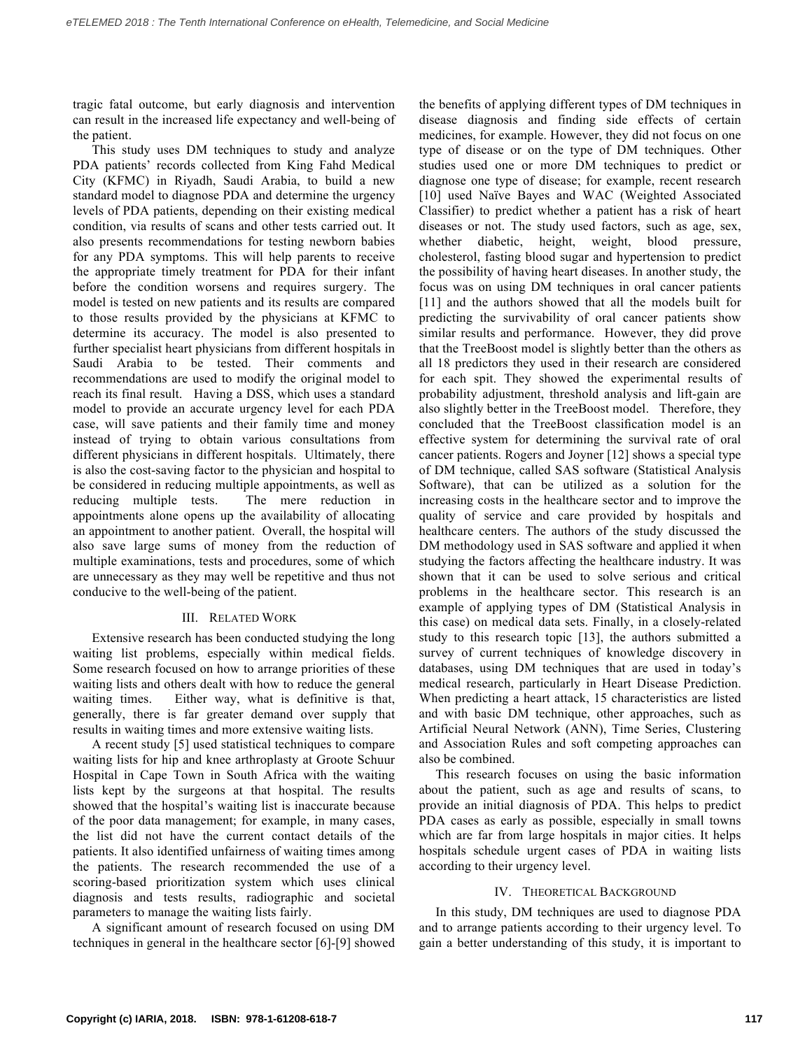tragic fatal outcome, but early diagnosis and intervention can result in the increased life expectancy and well-being of the patient.

This study uses DM techniques to study and analyze PDA patients' records collected from King Fahd Medical City (KFMC) in Riyadh, Saudi Arabia, to build a new standard model to diagnose PDA and determine the urgency levels of PDA patients, depending on their existing medical condition, via results of scans and other tests carried out. It also presents recommendations for testing newborn babies for any PDA symptoms. This will help parents to receive the appropriate timely treatment for PDA for their infant before the condition worsens and requires surgery. The model is tested on new patients and its results are compared to those results provided by the physicians at KFMC to determine its accuracy. The model is also presented to further specialist heart physicians from different hospitals in Saudi Arabia to be tested. Their comments and recommendations are used to modify the original model to reach its final result. Having a DSS, which uses a standard model to provide an accurate urgency level for each PDA case, will save patients and their family time and money instead of trying to obtain various consultations from different physicians in different hospitals. Ultimately, there is also the cost-saving factor to the physician and hospital to be considered in reducing multiple appointments, as well as reducing multiple tests. The mere reduction in appointments alone opens up the availability of allocating an appointment to another patient. Overall, the hospital will also save large sums of money from the reduction of multiple examinations, tests and procedures, some of which are unnecessary as they may well be repetitive and thus not conducive to the well-being of the patient.

#### III. RELATED WORK

Extensive research has been conducted studying the long waiting list problems, especially within medical fields. Some research focused on how to arrange priorities of these waiting lists and others dealt with how to reduce the general waiting times. Either way, what is definitive is that, generally, there is far greater demand over supply that results in waiting times and more extensive waiting lists.

A recent study [5] used statistical techniques to compare waiting lists for hip and knee arthroplasty at Groote Schuur Hospital in Cape Town in South Africa with the waiting lists kept by the surgeons at that hospital. The results showed that the hospital's waiting list is inaccurate because of the poor data management; for example, in many cases, the list did not have the current contact details of the patients. It also identified unfairness of waiting times among the patients. The research recommended the use of a scoring-based prioritization system which uses clinical diagnosis and tests results, radiographic and societal parameters to manage the waiting lists fairly.

A significant amount of research focused on using DM techniques in general in the healthcare sector [6]-[9] showed the benefits of applying different types of DM techniques in disease diagnosis and finding side effects of certain medicines, for example. However, they did not focus on one type of disease or on the type of DM techniques. Other studies used one or more DM techniques to predict or diagnose one type of disease; for example, recent research [10] used Naïve Bayes and WAC (Weighted Associated Classifier) to predict whether a patient has a risk of heart diseases or not. The study used factors, such as age, sex, whether diabetic, height, weight, blood pressure, cholesterol, fasting blood sugar and hypertension to predict the possibility of having heart diseases. In another study, the focus was on using DM techniques in oral cancer patients [11] and the authors showed that all the models built for predicting the survivability of oral cancer patients show similar results and performance. However, they did prove that the TreeBoost model is slightly better than the others as all 18 predictors they used in their research are considered for each spit. They showed the experimental results of probability adjustment, threshold analysis and lift-gain are also slightly better in the TreeBoost model. Therefore, they concluded that the TreeBoost classification model is an effective system for determining the survival rate of oral cancer patients. Rogers and Joyner [12] shows a special type of DM technique, called SAS software (Statistical Analysis Software), that can be utilized as a solution for the increasing costs in the healthcare sector and to improve the quality of service and care provided by hospitals and healthcare centers. The authors of the study discussed the DM methodology used in SAS software and applied it when studying the factors affecting the healthcare industry. It was shown that it can be used to solve serious and critical problems in the healthcare sector. This research is an example of applying types of DM (Statistical Analysis in this case) on medical data sets. Finally, in a closely-related study to this research topic [13], the authors submitted a survey of current techniques of knowledge discovery in databases, using DM techniques that are used in today's medical research, particularly in Heart Disease Prediction. When predicting a heart attack, 15 characteristics are listed and with basic DM technique, other approaches, such as Artificial Neural Network (ANN), Time Series, Clustering and Association Rules and soft competing approaches can also be combined.

 This research focuses on using the basic information about the patient, such as age and results of scans, to provide an initial diagnosis of PDA. This helps to predict PDA cases as early as possible, especially in small towns which are far from large hospitals in major cities. It helps hospitals schedule urgent cases of PDA in waiting lists according to their urgency level.

#### IV. THEORETICAL BACKGROUND

 In this study, DM techniques are used to diagnose PDA and to arrange patients according to their urgency level. To gain a better understanding of this study, it is important to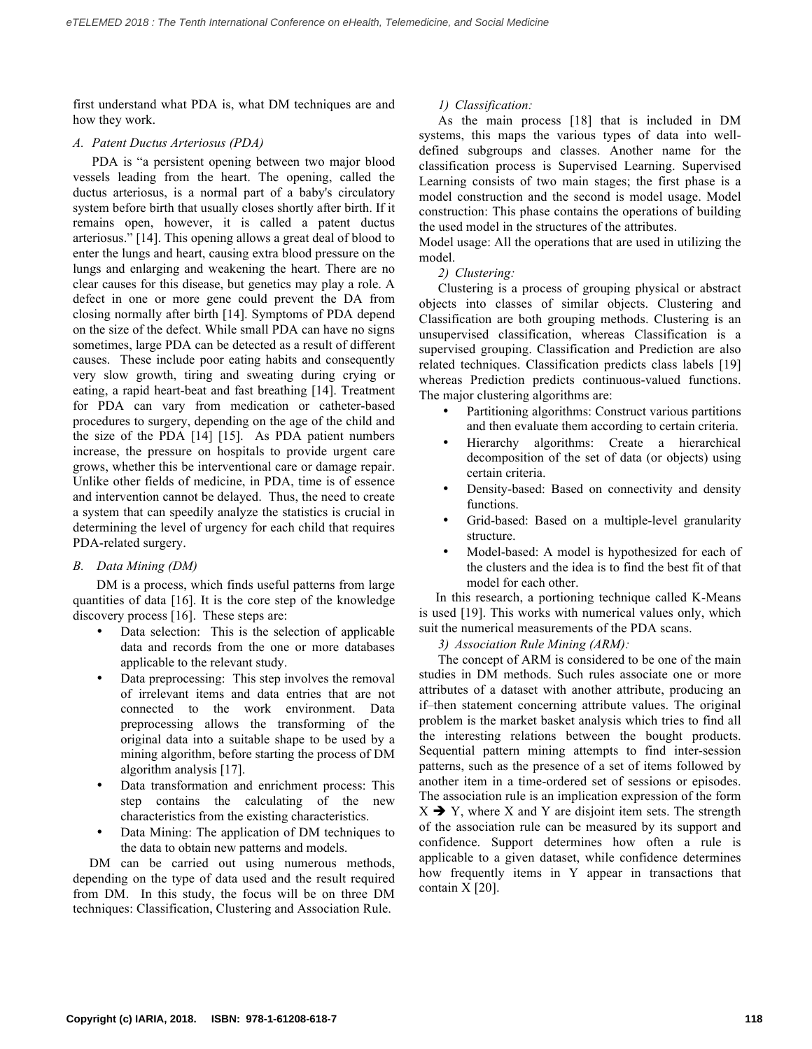first understand what PDA is, what DM techniques are and how they work.

# *A. Patent Ductus Arteriosus (PDA)*

PDA is "a persistent opening between two major blood vessels leading from the heart. The opening, called the ductus arteriosus, is a normal part of a baby's circulatory system before birth that usually closes shortly after birth. If it remains open, however, it is called a patent ductus arteriosus." [14]. This opening allows a great deal of blood to enter the lungs and heart, causing extra blood pressure on the lungs and enlarging and weakening the heart. There are no clear causes for this disease, but genetics may play a role. A defect in one or more gene could prevent the DA from closing normally after birth [14]. Symptoms of PDA depend on the size of the defect. While small PDA can have no signs sometimes, large PDA can be detected as a result of different causes. These include poor eating habits and consequently very slow growth, tiring and sweating during crying or eating, a rapid heart-beat and fast breathing [14]. Treatment for PDA can vary from medication or catheter-based procedures to surgery, depending on the age of the child and the size of the PDA [14] [15]. As PDA patient numbers increase, the pressure on hospitals to provide urgent care grows, whether this be interventional care or damage repair. Unlike other fields of medicine, in PDA, time is of essence and intervention cannot be delayed. Thus, the need to create a system that can speedily analyze the statistics is crucial in determining the level of urgency for each child that requires PDA-related surgery.

# *B. Data Mining (DM)*

DM is a process, which finds useful patterns from large quantities of data [16]. It is the core step of the knowledge discovery process [16]. These steps are:

- Data selection: This is the selection of applicable data and records from the one or more databases applicable to the relevant study.
- Data preprocessing: This step involves the removal of irrelevant items and data entries that are not connected to the work environment. Data preprocessing allows the transforming of the original data into a suitable shape to be used by a mining algorithm, before starting the process of DM algorithm analysis [17].
- Data transformation and enrichment process: This step contains the calculating of the new characteristics from the existing characteristics.
- Data Mining: The application of DM techniques to the data to obtain new patterns and models.

DM can be carried out using numerous methods, depending on the type of data used and the result required from DM. In this study, the focus will be on three DM techniques: Classification, Clustering and Association Rule.

# *1) Classification:*

As the main process [18] that is included in DM systems, this maps the various types of data into welldefined subgroups and classes. Another name for the classification process is Supervised Learning. Supervised Learning consists of two main stages; the first phase is a model construction and the second is model usage. Model construction: This phase contains the operations of building the used model in the structures of the attributes.

Model usage: All the operations that are used in utilizing the model.

*2) Clustering:*

Clustering is a process of grouping physical or abstract objects into classes of similar objects. Clustering and Classification are both grouping methods. Clustering is an unsupervised classification, whereas Classification is a supervised grouping. Classification and Prediction are also related techniques. Classification predicts class labels [19] whereas Prediction predicts continuous-valued functions. The major clustering algorithms are:

- Partitioning algorithms: Construct various partitions and then evaluate them according to certain criteria.
- Hierarchy algorithms: Create a hierarchical decomposition of the set of data (or objects) using certain criteria.
- Density-based: Based on connectivity and density functions.
- Grid-based: Based on a multiple-level granularity structure.
- Model-based: A model is hypothesized for each of the clusters and the idea is to find the best fit of that model for each other.

 In this research, a portioning technique called K-Means is used [19]. This works with numerical values only, which suit the numerical measurements of the PDA scans.

*3) Association Rule Mining (ARM):*

The concept of ARM is considered to be one of the main studies in DM methods. Such rules associate one or more attributes of a dataset with another attribute, producing an if–then statement concerning attribute values. The original problem is the market basket analysis which tries to find all the interesting relations between the bought products. Sequential pattern mining attempts to find inter-session patterns, such as the presence of a set of items followed by another item in a time-ordered set of sessions or episodes. The association rule is an implication expression of the form  $X \rightarrow Y$ , where X and Y are disjoint item sets. The strength of the association rule can be measured by its support and confidence. Support determines how often a rule is applicable to a given dataset, while confidence determines how frequently items in Y appear in transactions that contain X [20].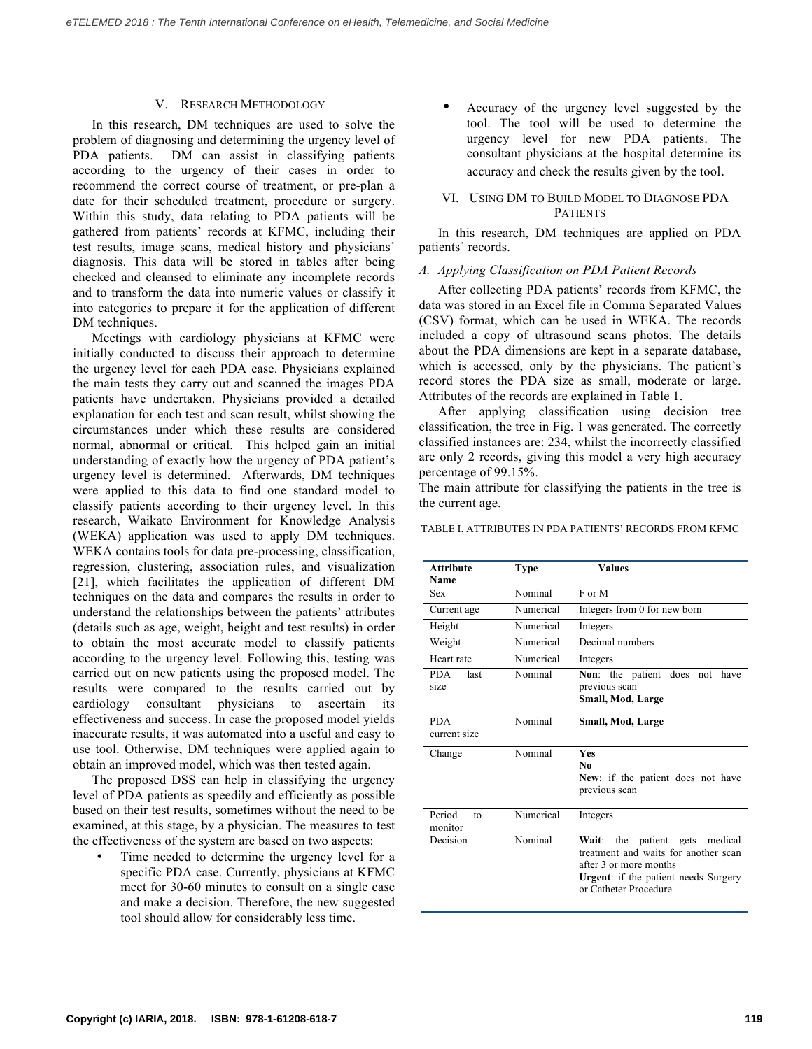#### V. RESEARCH METHODOLOGY

In this research, DM techniques are used to solve the problem of diagnosing and determining the urgency level of PDA patients. DM can assist in classifying patients according to the urgency of their cases in order to recommend the correct course of treatment, or pre-plan a date for their scheduled treatment, procedure or surgery. Within this study, data relating to PDA patients will be gathered from patients' records at KFMC, including their test results, image scans, medical history and physicians' diagnosis. This data will be stored in tables after being checked and cleansed to eliminate any incomplete records and to transform the data into numeric values or classify it into categories to prepare it for the application of different DM techniques.

Meetings with cardiology physicians at KFMC were initially conducted to discuss their approach to determine the urgency level for each PDA case. Physicians explained the main tests they carry out and scanned the images PDA patients have undertaken. Physicians provided a detailed explanation for each test and scan result, whilst showing the circumstances under which these results are considered normal, abnormal or critical. This helped gain an initial understanding of exactly how the urgency of PDA patient's urgency level is determined. Afterwards, DM techniques were applied to this data to find one standard model to classify patients according to their urgency level. In this research, Waikato Environment for Knowledge Analysis (WEKA) application was used to apply DM techniques. WEKA contains tools for data pre-processing, classification, regression, clustering, association rules, and visualization [21], which facilitates the application of different DM techniques on the data and compares the results in order to understand the relationships between the patients' attributes (details such as age, weight, height and test results) in order to obtain the most accurate model to classify patients according to the urgency level. Following this, testing was carried out on new patients using the proposed model. The results were compared to the results carried out by cardiology consultant physicians to ascertain its effectiveness and success. In case the proposed model yields inaccurate results, it was automated into a useful and easy to use tool. Otherwise, DM techniques were applied again to obtain an improved model, which was then tested again.

The proposed DSS can help in classifying the urgency level of PDA patients as speedily and efficiently as possible based on their test results, sometimes without the need to be examined, at this stage, by a physician. The measures to test the effectiveness of the system are based on two aspects:

Time needed to determine the urgency level for a specific PDA case. Currently, physicians at KFMC meet for 30-60 minutes to consult on a single case and make a decision. Therefore, the new suggested tool should allow for considerably less time.

• Accuracy of the urgency level suggested by the tool. The tool will be used to determine the urgency level for new PDA patients. The consultant physicians at the hospital determine its accuracy and check the results given by the tool.

# VI. USING DM TO BUILD MODEL TO DIAGNOSE PDA **PATIENTS**

In this research, DM techniques are applied on PDA patients' records.

#### *A. Applying Classification on PDA Patient Records*

After collecting PDA patients' records from KFMC, the data was stored in an Excel file in Comma Separated Values (CSV) format, which can be used in WEKA. The records included a copy of ultrasound scans photos. The details about the PDA dimensions are kept in a separate database, which is accessed, only by the physicians. The patient's record stores the PDA size as small, moderate or large. Attributes of the records are explained in Table 1.

After applying classification using decision tree classification, the tree in Fig. 1 was generated. The correctly classified instances are: 234, whilst the incorrectly classified are only 2 records, giving this model a very high accuracy percentage of 99.15%.

The main attribute for classifying the patients in the tree is the current age.

TABLE I. ATTRIBUTES IN PDA PATIENTS' RECORDS FROM KFMC

| <b>Attribute</b><br>Name            | <b>Type</b> | <b>Values</b>                                                                                                                                                                   |
|-------------------------------------|-------------|---------------------------------------------------------------------------------------------------------------------------------------------------------------------------------|
| <b>Sex</b>                          | Nominal     | $F$ or $M$                                                                                                                                                                      |
| Current age                         | Numerical   | Integers from 0 for new born                                                                                                                                                    |
| Height                              | Numerical   | Integers                                                                                                                                                                        |
| Weight                              | Numerical   | Decimal numbers                                                                                                                                                                 |
| Heart rate                          | Numerical   | Integers                                                                                                                                                                        |
| <b>PDA</b><br>last<br>size          | Nominal     | Non: the patient does<br>not<br>have<br>previous scan<br>Small, Mod, Large                                                                                                      |
| <b>PDA</b><br>current size          | Nominal     | Small, Mod, Large                                                                                                                                                               |
| Change                              | Nominal     | <b>Yes</b><br>No<br>New: if the patient does not have<br>previous scan                                                                                                          |
| Period<br>f <sub>O</sub><br>monitor | Numerical   | Integers                                                                                                                                                                        |
| Decision                            | Nominal     | patient gets<br>medical<br>Wait: the<br>treatment and waits for another scan<br>after 3 or more months<br><b>Urgent</b> : if the patient needs Surgery<br>or Catheter Procedure |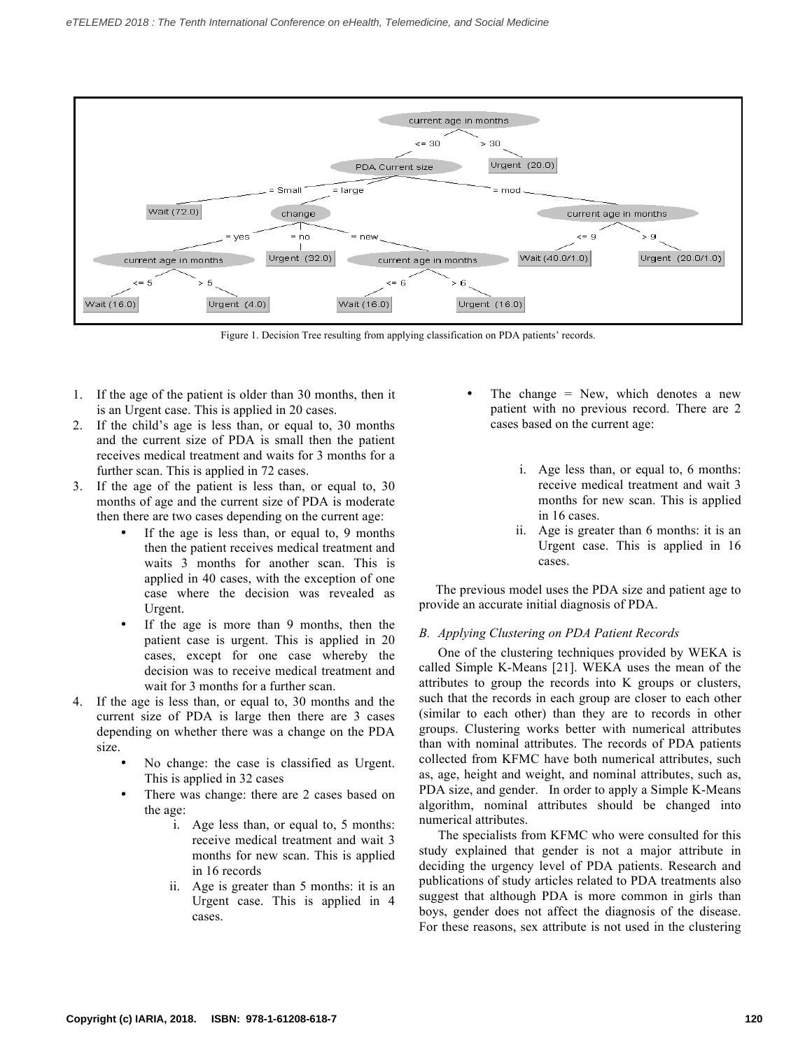

Figure 1. Decision Tree resulting from applying classification on PDA patients' records.

- 1. If the age of the patient is older than 30 months, then it is an Urgent case. This is applied in 20 cases.
- 2. If the child's age is less than, or equal to, 30 months and the current size of PDA is small then the patient receives medical treatment and waits for 3 months for a further scan. This is applied in 72 cases.
- 3. If the age of the patient is less than, or equal to, 30 months of age and the current size of PDA is moderate then there are two cases depending on the current age:
	- If the age is less than, or equal to, 9 months then the patient receives medical treatment and waits 3 months for another scan. This is applied in 40 cases, with the exception of one case where the decision was revealed as Urgent.
	- If the age is more than 9 months, then the patient case is urgent. This is applied in 20 cases, except for one case whereby the decision was to receive medical treatment and wait for 3 months for a further scan.
- 4. If the age is less than, or equal to, 30 months and the current size of PDA is large then there are 3 cases depending on whether there was a change on the PDA size.
	- No change: the case is classified as Urgent. This is applied in 32 cases
	- There was change: there are 2 cases based on the age:
		- i. Age less than, or equal to, 5 months: receive medical treatment and wait 3 months for new scan. This is applied in 16 records
		- ii. Age is greater than 5 months: it is an Urgent case. This is applied in 4 cases.
- The change  $=$  New, which denotes a new patient with no previous record. There are 2 cases based on the current age:
	- i. Age less than, or equal to, 6 months: receive medical treatment and wait 3 months for new scan. This is applied in 16 cases.
	- ii. Age is greater than 6 months: it is an Urgent case. This is applied in 16 cases.

 The previous model uses the PDA size and patient age to provide an accurate initial diagnosis of PDA.

# *B. Applying Clustering on PDA Patient Records*

One of the clustering techniques provided by WEKA is called Simple K-Means [21]. WEKA uses the mean of the attributes to group the records into K groups or clusters, such that the records in each group are closer to each other (similar to each other) than they are to records in other groups. Clustering works better with numerical attributes than with nominal attributes. The records of PDA patients collected from KFMC have both numerical attributes, such as, age, height and weight, and nominal attributes, such as, PDA size, and gender. In order to apply a Simple K-Means algorithm, nominal attributes should be changed into numerical attributes.

The specialists from KFMC who were consulted for this study explained that gender is not a major attribute in deciding the urgency level of PDA patients. Research and publications of study articles related to PDA treatments also suggest that although PDA is more common in girls than boys, gender does not affect the diagnosis of the disease. For these reasons, sex attribute is not used in the clustering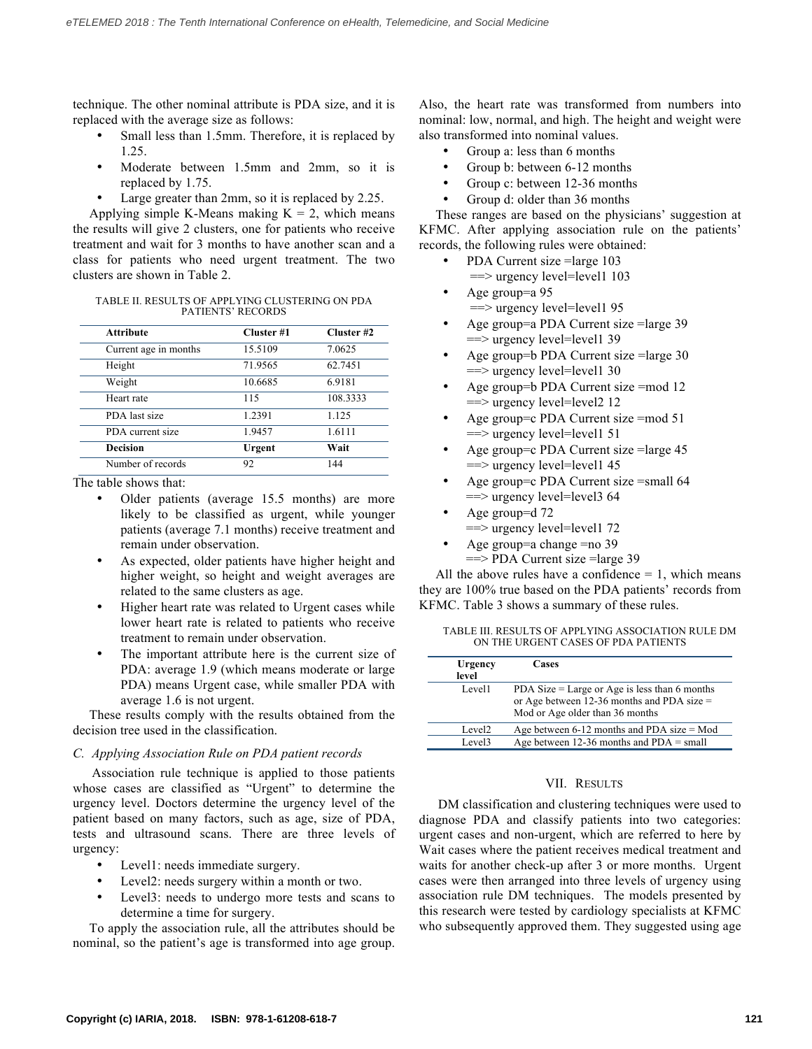technique. The other nominal attribute is PDA size, and it is replaced with the average size as follows:

- Small less than 1.5mm. Therefore, it is replaced by 1.25.
- Moderate between 1.5mm and 2mm, so it is replaced by 1.75.
- Large greater than 2mm, so it is replaced by 2.25.

Applying simple K-Means making  $K = 2$ , which means the results will give 2 clusters, one for patients who receive treatment and wait for 3 months to have another scan and a class for patients who need urgent treatment. The two clusters are shown in Table 2.

| TABLE II. RESULTS OF APPLYING CLUSTERING ON PDA |
|-------------------------------------------------|
| <b>PATIENTS' RECORDS</b>                        |

| <b>Attribute</b>      | Cluster #1 | Cluster #2 |  |
|-----------------------|------------|------------|--|
| Current age in months | 15.5109    | 7.0625     |  |
| Height                | 71.9565    | 62.7451    |  |
| Weight                | 10.6685    | 6.9181     |  |
| Heart rate            | 115        | 108.3333   |  |
| PDA last size         | 1.2391     | 1.125      |  |
| PDA current size      | 1.9457     | 1.6111     |  |
| <b>Decision</b>       | Urgent     | Wait       |  |
| Number of records     | 92         | 144        |  |

The table shows that:

- Older patients (average 15.5 months) are more likely to be classified as urgent, while younger patients (average 7.1 months) receive treatment and remain under observation.
- As expected, older patients have higher height and higher weight, so height and weight averages are related to the same clusters as age.
- Higher heart rate was related to Urgent cases while lower heart rate is related to patients who receive treatment to remain under observation.
- The important attribute here is the current size of PDA: average 1.9 (which means moderate or large PDA) means Urgent case, while smaller PDA with average 1.6 is not urgent.

 These results comply with the results obtained from the decision tree used in the classification.

# *C. Applying Association Rule on PDA patient records*

Association rule technique is applied to those patients whose cases are classified as "Urgent" to determine the urgency level. Doctors determine the urgency level of the patient based on many factors, such as age, size of PDA, tests and ultrasound scans. There are three levels of urgency:

- Level1: needs immediate surgery.
- Level2: needs surgery within a month or two.
- Level3: needs to undergo more tests and scans to determine a time for surgery.

 To apply the association rule, all the attributes should be nominal, so the patient's age is transformed into age group. Also, the heart rate was transformed from numbers into nominal: low, normal, and high. The height and weight were also transformed into nominal values.

- Group a: less than 6 months
- Group b: between 6-12 months
- Group c: between 12-36 months
- Group d: older than 36 months

 These ranges are based on the physicians' suggestion at KFMC. After applying association rule on the patients' records, the following rules were obtained:

- PDA Current size =large 103 ==> urgency level=level1 103
- Age group=a 95 ==> urgency level=level1 95
- Age group=a PDA Current size =large 39 ==> urgency level=level1 39
- Age group=b PDA Current size =large 30 ==> urgency level=level1 30
- Age group=b PDA Current size =mod 12 ==> urgency level=level2 12
- Age group=c PDA Current size =mod 51  $==$  urgency level=level1 51
- Age group=c PDA Current size =large 45  $\equiv$  =  $\equiv$  urgency level = level 1 45
- Age group=c PDA Current size =small 64  $==$  urgency level=level3 64
- Age group=d 72
- $\equiv$  =  $\equiv$  urgency level = level 1 72
- Age group=a change =no 39 ==> PDA Current size =large 39

All the above rules have a confidence  $= 1$ , which means they are 100% true based on the PDA patients' records from KFMC. Table 3 shows a summary of these rules.

TABLE III. RESULTS OF APPLYING ASSOCIATION RULE DM ON THE URGENT CASES OF PDA PATIENTS

| Urgency<br>level   | Cases                                                                                                                            |
|--------------------|----------------------------------------------------------------------------------------------------------------------------------|
| Level1             | PDA Size = Large or Age is less than 6 months<br>or Age between 12-36 months and PDA size $=$<br>Mod or Age older than 36 months |
| Level <sub>2</sub> | Age between $6-12$ months and PDA size = Mod                                                                                     |
| Level3             | Age between 12-36 months and $PDA = small$                                                                                       |

# VII. RESULTS

DM classification and clustering techniques were used to diagnose PDA and classify patients into two categories: urgent cases and non-urgent, which are referred to here by Wait cases where the patient receives medical treatment and waits for another check-up after 3 or more months. Urgent cases were then arranged into three levels of urgency using association rule DM techniques. The models presented by this research were tested by cardiology specialists at KFMC who subsequently approved them. They suggested using age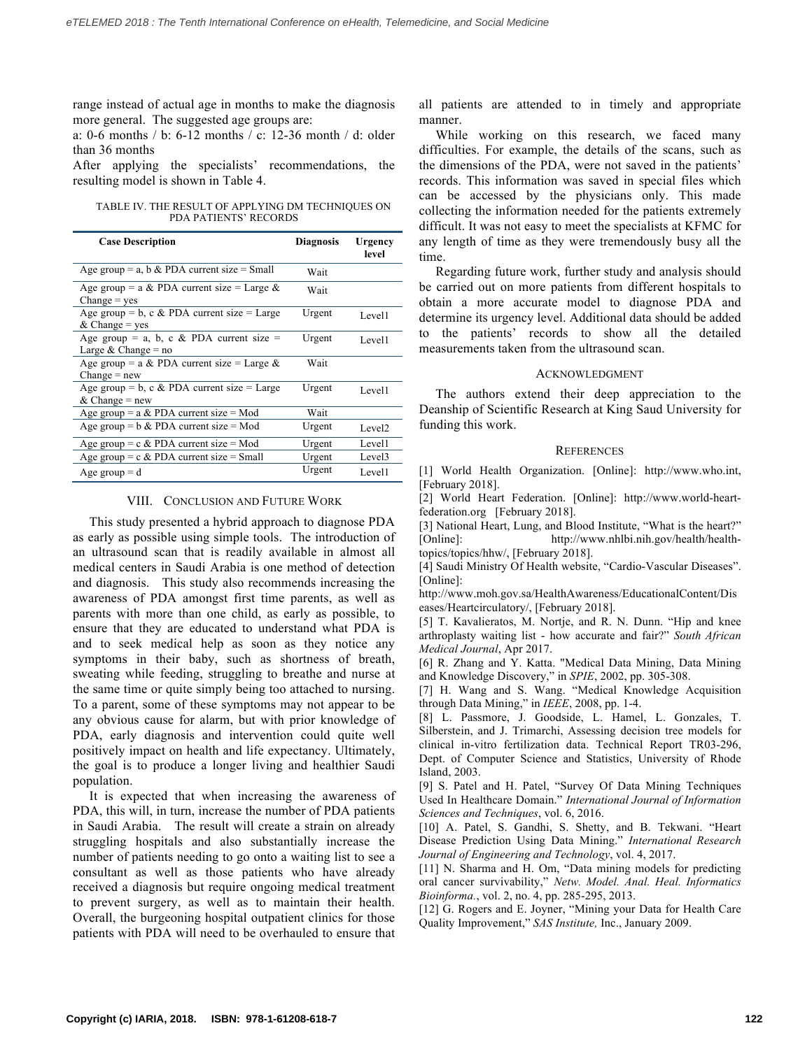range instead of actual age in months to make the diagnosis more general. The suggested age groups are:

a: 0-6 months / b: 6-12 months / c: 12-36 month / d: older than 36 months

After applying the specialists' recommendations, the resulting model is shown in Table 4.

TABLE IV. THE RESULT OF APPLYING DM TECHNIQUES ON PDA PATIENTS' RECORDS

| <b>Case Description</b>                                           | <b>Diagnosis</b> | Urgency<br>level   |
|-------------------------------------------------------------------|------------------|--------------------|
| Age group = a, b & PDA current size = Small                       | Wait             |                    |
| Age group = a & PDA current size = Large &<br>$Change = yes$      | Wait             |                    |
| Age group = b, c & PDA current size = Large<br>$&$ Change = yes   | Urgent           | Level1             |
| Age group = a, b, c & PDA current size =<br>Large & Change = $no$ | Urgent           | Level1             |
| Age group = a & PDA current size = Large &<br>$Change = new$      | Wait             |                    |
| Age group = b, c & PDA current size = Large<br>& Change = $new$   | Urgent           | Level1             |
| Age group = $a & PDA$ current size = Mod                          | Wait             |                    |
| Age group = $b \& PDA$ current size = Mod                         | Urgent           | Level <sub>2</sub> |
| Age group = $c \& PDA$ current size = Mod                         | Urgent           | Level1             |
| Age group = $c \& PDA$ current size = Small                       | Urgent           | Level <sub>3</sub> |
| Age group $= d$                                                   | Urgent           | Level1             |

#### VIII. CONCLUSION AND FUTURE WORK

 This study presented a hybrid approach to diagnose PDA as early as possible using simple tools. The introduction of an ultrasound scan that is readily available in almost all medical centers in Saudi Arabia is one method of detection and diagnosis. This study also recommends increasing the awareness of PDA amongst first time parents, as well as parents with more than one child, as early as possible, to ensure that they are educated to understand what PDA is and to seek medical help as soon as they notice any symptoms in their baby, such as shortness of breath, sweating while feeding, struggling to breathe and nurse at the same time or quite simply being too attached to nursing. To a parent, some of these symptoms may not appear to be any obvious cause for alarm, but with prior knowledge of PDA, early diagnosis and intervention could quite well positively impact on health and life expectancy. Ultimately, the goal is to produce a longer living and healthier Saudi population.

 It is expected that when increasing the awareness of PDA, this will, in turn, increase the number of PDA patients in Saudi Arabia. The result will create a strain on already struggling hospitals and also substantially increase the number of patients needing to go onto a waiting list to see a consultant as well as those patients who have already received a diagnosis but require ongoing medical treatment to prevent surgery, as well as to maintain their health. Overall, the burgeoning hospital outpatient clinics for those patients with PDA will need to be overhauled to ensure that all patients are attended to in timely and appropriate manner.

 While working on this research, we faced many difficulties. For example, the details of the scans, such as the dimensions of the PDA, were not saved in the patients' records. This information was saved in special files which can be accessed by the physicians only. This made collecting the information needed for the patients extremely difficult. It was not easy to meet the specialists at KFMC for any length of time as they were tremendously busy all the time.

 Regarding future work, further study and analysis should be carried out on more patients from different hospitals to obtain a more accurate model to diagnose PDA and determine its urgency level. Additional data should be added to the patients' records to show all the detailed measurements taken from the ultrasound scan.

#### ACKNOWLEDGMENT

 The authors extend their deep appreciation to the Deanship of Scientific Research at King Saud University for funding this work.

#### **REFERENCES**

[1] World Health Organization. [Online]: http://www.who.int, [February 2018].

[2] World Heart Federation. [Online]: http://www.world-heartfederation.org [February 2018].

[3] National Heart, Lung, and Blood Institute, "What is the heart?" [Online]: http://www.nhlbi.nih.gov/health/healthtopics/topics/hhw/, [February 2018].

[4] Saudi Ministry Of Health website, "Cardio-Vascular Diseases". [Online]:

http://www.moh.gov.sa/HealthAwareness/EducationalContent/Dis eases/Heartcirculatory/, [February 2018].

[5] T. Kavalieratos, M. Nortje, and R. N. Dunn. "Hip and knee arthroplasty waiting list - how accurate and fair?" *South African Medical Journal*, Apr 2017.

[6] R. Zhang and Y. Katta. "Medical Data Mining, Data Mining and Knowledge Discovery," in *SPIE*, 2002, pp. 305-308.

[7] H. Wang and S. Wang. "Medical Knowledge Acquisition through Data Mining," in *IEEE*, 2008, pp. 1-4.

[8] L. Passmore, J. Goodside, L. Hamel, L. Gonzales, T. Silberstein, and J. Trimarchi, Assessing decision tree models for clinical in-vitro fertilization data. Technical Report TR03-296, Dept. of Computer Science and Statistics, University of Rhode Island, 2003.

[9] S. Patel and H. Patel, "Survey Of Data Mining Techniques Used In Healthcare Domain." *International Journal of Information Sciences and Techniques*, vol. 6, 2016.

[10] A. Patel, S. Gandhi, S. Shetty, and B. Tekwani. "Heart Disease Prediction Using Data Mining." *International Research Journal of Engineering and Technology*, vol. 4, 2017.

[11] N. Sharma and H. Om, "Data mining models for predicting oral cancer survivability," *Netw. Model. Anal. Heal. Informatics Bioinforma.*, vol. 2, no. 4, pp. 285-295, 2013.

[12] G. Rogers and E. Joyner, "Mining your Data for Health Care Quality Improvement," *SAS Institute,* Inc., January 2009.